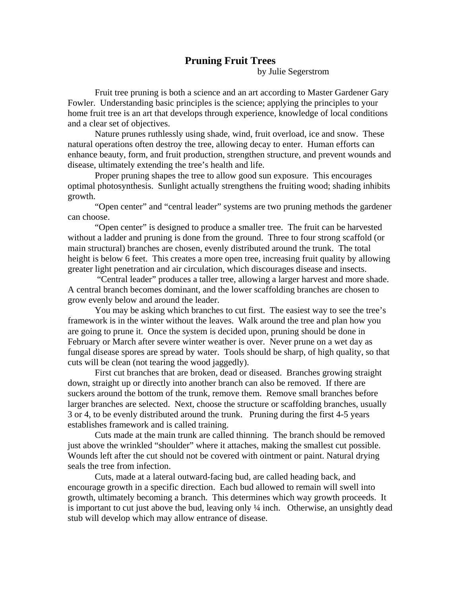## **Pruning Fruit Trees**

by Julie Segerstrom

Fruit tree pruning is both a science and an art according to Master Gardener Gary Fowler. Understanding basic principles is the science; applying the principles to your home fruit tree is an art that develops through experience, knowledge of local conditions and a clear set of objectives.

Nature prunes ruthlessly using shade, wind, fruit overload, ice and snow. These natural operations often destroy the tree, allowing decay to enter. Human efforts can enhance beauty, form, and fruit production, strengthen structure, and prevent wounds and disease, ultimately extending the tree's health and life.

 Proper pruning shapes the tree to allow good sun exposure. This encourages optimal photosynthesis. Sunlight actually strengthens the fruiting wood; shading inhibits growth.

 "Open center" and "central leader" systems are two pruning methods the gardener can choose.

 "Open center" is designed to produce a smaller tree. The fruit can be harvested without a ladder and pruning is done from the ground. Three to four strong scaffold (or main structural) branches are chosen, evenly distributed around the trunk. The total height is below 6 feet. This creates a more open tree, increasing fruit quality by allowing greater light penetration and air circulation, which discourages disease and insects.

 "Central leader" produces a taller tree, allowing a larger harvest and more shade. A central branch becomes dominant, and the lower scaffolding branches are chosen to grow evenly below and around the leader.

 You may be asking which branches to cut first. The easiest way to see the tree's framework is in the winter without the leaves. Walk around the tree and plan how you are going to prune it. Once the system is decided upon, pruning should be done in February or March after severe winter weather is over. Never prune on a wet day as fungal disease spores are spread by water. Tools should be sharp, of high quality, so that cuts will be clean (not tearing the wood jaggedly).

First cut branches that are broken, dead or diseased. Branches growing straight down, straight up or directly into another branch can also be removed. If there are suckers around the bottom of the trunk, remove them. Remove small branches before larger branches are selected. Next, choose the structure or scaffolding branches, usually 3 or 4, to be evenly distributed around the trunk. Pruning during the first 4-5 years establishes framework and is called training.

 Cuts made at the main trunk are called thinning. The branch should be removed just above the wrinkled "shoulder" where it attaches, making the smallest cut possible. Wounds left after the cut should not be covered with ointment or paint. Natural drying seals the tree from infection.

 Cuts, made at a lateral outward-facing bud, are called heading back, and encourage growth in a specific direction. Each bud allowed to remain will swell into growth, ultimately becoming a branch. This determines which way growth proceeds. It is important to cut just above the bud, leaving only  $\frac{1}{4}$  inch. Otherwise, an unsightly dead stub will develop which may allow entrance of disease.